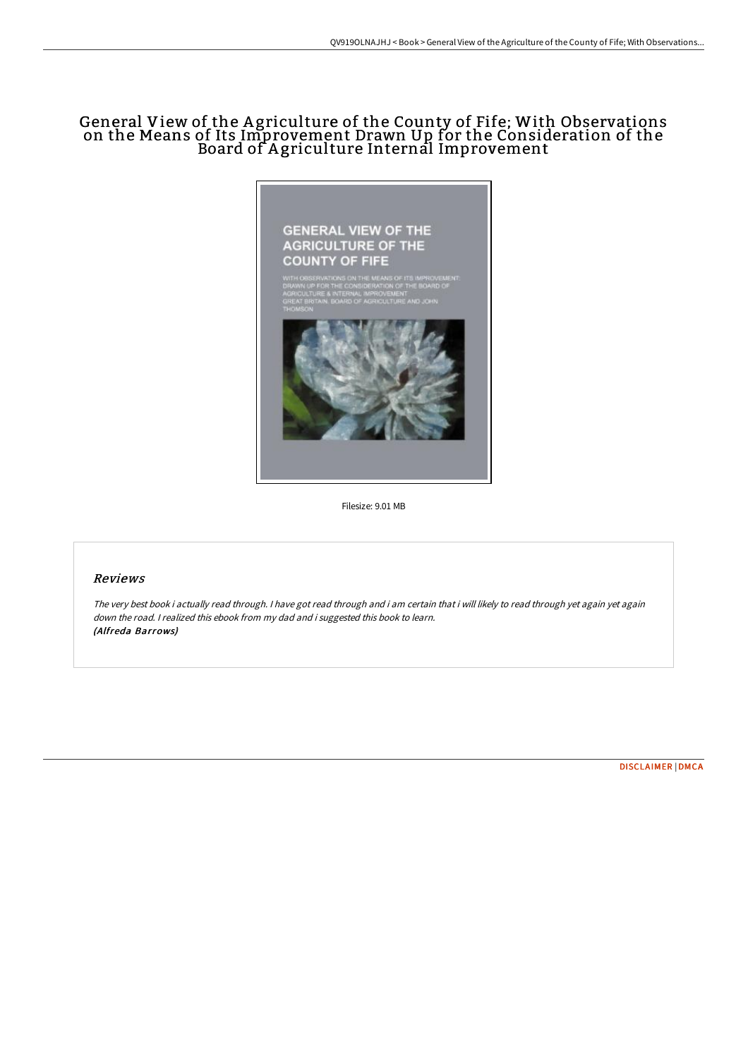# General View of the A griculture of the County of Fife; With Observations on the Means of Its Improvement Drawn Up for the Consideration of the Board of Agriculture Internal Improvement



Filesize: 9.01 MB

## Reviews

The very best book i actually read through. I have got read through and i am certain that i will likely to read through yet again yet again down the road. <sup>I</sup> realized this ebook from my dad and i suggested this book to learn. (Alfreda Barrows)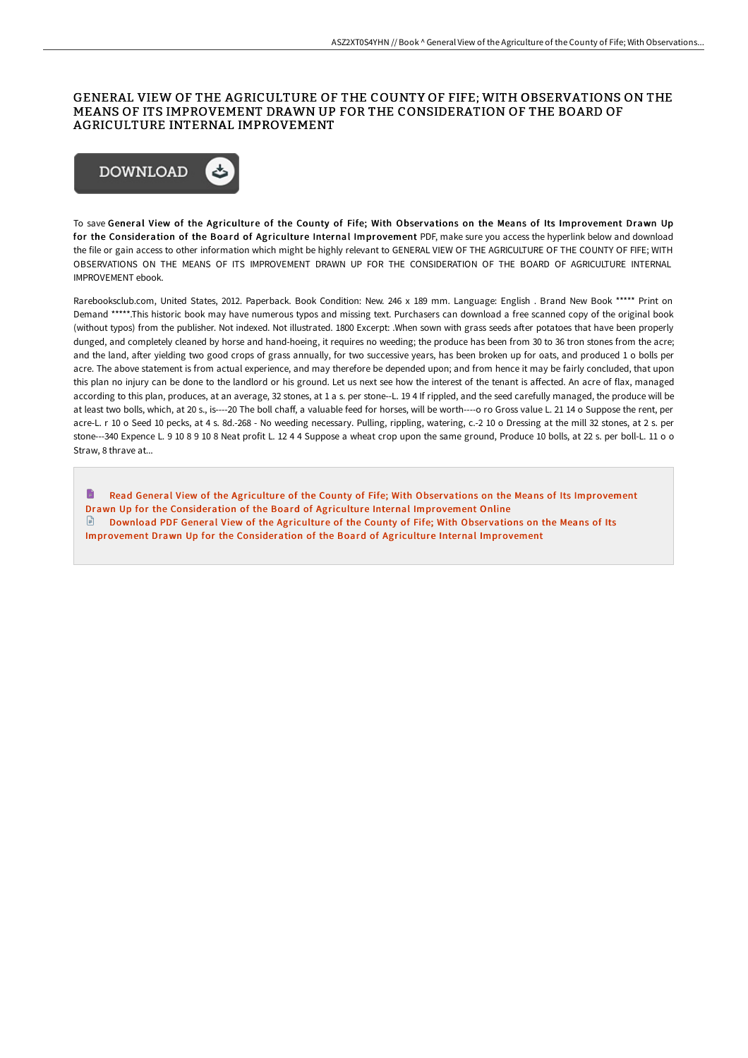#### GENERAL VIEW OF THE AGRICULTURE OF THE COUNTY OF FIFE; WITH OBSERVATIONS ON THE MEANS OF ITS IMPROVEMENT DRAWN UP FOR THE CONSIDERATION OF THE BOARD OF AGRICULTURE INTERNAL IMPROVEMENT



To save General View of the Agriculture of the County of Fife; With Observations on the Means of Its Improvement Drawn Up for the Consideration of the Board of Agriculture Internal Improvement PDF, make sure you access the hyperlink below and download the file or gain access to other information which might be highly relevant to GENERAL VIEW OF THE AGRICULTURE OF THE COUNTY OF FIFE; WITH OBSERVATIONS ON THE MEANS OF ITS IMPROVEMENT DRAWN UP FOR THE CONSIDERATION OF THE BOARD OF AGRICULTURE INTERNAL IMPROVEMENT ebook.

Rarebooksclub.com, United States, 2012. Paperback. Book Condition: New. 246 x 189 mm. Language: English . Brand New Book \*\*\*\*\* Print on Demand \*\*\*\*\*.This historic book may have numerous typos and missing text. Purchasers can download a free scanned copy of the original book (without typos) from the publisher. Not indexed. Not illustrated. 1800 Excerpt: .When sown with grass seeds aFer potatoes that have been properly dunged, and completely cleaned by horse and hand-hoeing, it requires no weeding; the produce has been from 30 to 36 tron stones from the acre; and the land, aFer yielding two good crops of grass annually, for two successive years, has been broken up for oats, and produced 1 o bolls per acre. The above statement is from actual experience, and may therefore be depended upon; and from hence it may be fairly concluded, that upon this plan no injury can be done to the landlord or his ground. Let us next see how the interest of the tenant is affected. An acre of flax, managed according to this plan, produces, at an average, 32 stones, at 1 a s. per stone--L. 19 4 If rippled, and the seed carefully managed, the produce will be at least two bolls, which, at 20 s., is----20 The boll chaff, a valuable feed for horses, will be worth----o ro Gross value L. 21 14 o Suppose the rent, per acre-L. r 10 o Seed 10 pecks, at 4 s. 8d.-268 - No weeding necessary. Pulling, rippling, watering, c.-2 10 o Dressing at the mill 32 stones, at 2 s. per stone---340 Expence L. 9 10 8 9 10 8 Neat profit L. 12 4 4 Suppose a wheat crop upon the same ground, Produce 10 bolls, at 22 s. per boll-L. 11 o o Straw, 8 thrave at...

 $\blacksquare$ Read General View of the Agriculture of the County of Fife; With Observations on the Means of Its Improvement Drawn Up for the [Consideration](http://techno-pub.tech/general-view-of-the-agriculture-of-the-county-of-1.html) of the Board of Agriculture Internal Improvement Online  $\Box$  Download PDF General View of the Agriculture of the County of Fife; With Observations on the Means of Its Improvement Drawn Up for the [Consideration](http://techno-pub.tech/general-view-of-the-agriculture-of-the-county-of-1.html) of the Board of Agriculture Internal Improvement